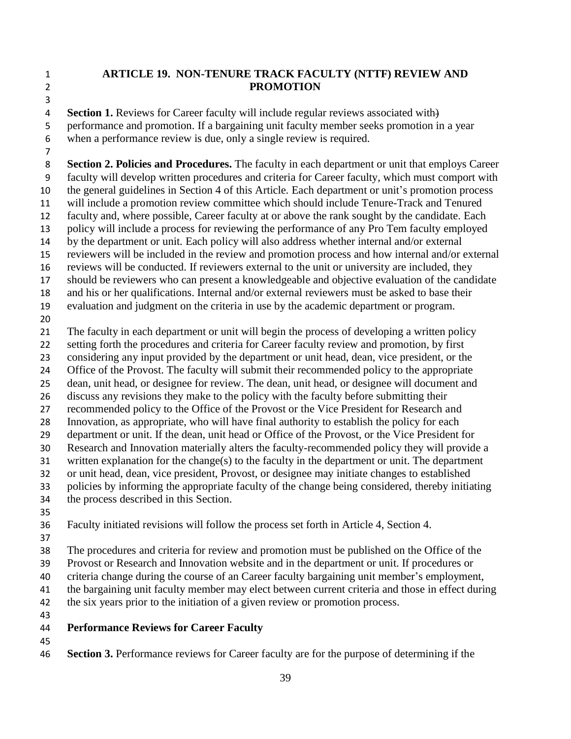## **ARTICLE 19. NON-TENURE TRACK FACULTY (NTTF) REVIEW AND PROMOTION**

 **Section 1.** Reviews for Career faculty will include regular reviews associated with) performance and promotion. If a bargaining unit faculty member seeks promotion in a year when a performance review is due, only a single review is required.

 **Section 2. Policies and Procedures.** The faculty in each department or unit that employs Career faculty will develop written procedures and criteria for Career faculty, which must comport with the general guidelines in Section 4 of this Article. Each department or unit's promotion process will include a promotion review committee which should include Tenure-Track and Tenured faculty and, where possible, Career faculty at or above the rank sought by the candidate. Each policy will include a process for reviewing the performance of any Pro Tem faculty employed by the department or unit. Each policy will also address whether internal and/or external reviewers will be included in the review and promotion process and how internal and/or external reviews will be conducted. If reviewers external to the unit or university are included, they should be reviewers who can present a knowledgeable and objective evaluation of the candidate and his or her qualifications. Internal and/or external reviewers must be asked to base their evaluation and judgment on the criteria in use by the academic department or program. The faculty in each department or unit will begin the process of developing a written policy setting forth the procedures and criteria for Career faculty review and promotion, by first considering any input provided by the department or unit head, dean, vice president, or the Office of the Provost. The faculty will submit their recommended policy to the appropriate dean, unit head, or designee for review. The dean, unit head, or designee will document and discuss any revisions they make to the policy with the faculty before submitting their recommended policy to the Office of the Provost or the Vice President for Research and Innovation, as appropriate, who will have final authority to establish the policy for each department or unit. If the dean, unit head or Office of the Provost, or the Vice President for Research and Innovation materially alters the faculty-recommended policy they will provide a written explanation for the change(s) to the faculty in the department or unit. The department or unit head, dean, vice president, Provost, or designee may initiate changes to established policies by informing the appropriate faculty of the change being considered, thereby initiating the process described in this Section. Faculty initiated revisions will follow the process set forth in Article 4, Section 4.

The procedures and criteria for review and promotion must be published on the Office of the

Provost or Research and Innovation website and in the department or unit. If procedures or

 criteria change during the course of an Career faculty bargaining unit member's employment, the bargaining unit faculty member may elect between current criteria and those in effect during

42 the six years prior to the initiation of a given review or promotion process.

- **Performance Reviews for Career Faculty**
- 
- **Section 3.** Performance reviews for Career faculty are for the purpose of determining if the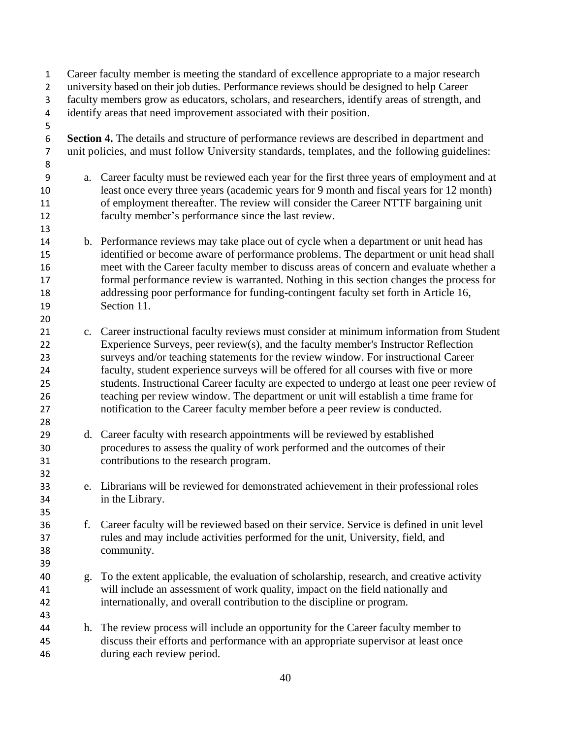Career faculty member is meeting the standard of excellence appropriate to a major research university based on their job duties. Performance reviews should be designed to help Career faculty members grow as educators, scholars, and researchers, identify areas of strength, and identify areas that need improvement associated with their position. **Section 4.** The details and structure of performance reviews are described in department and unit policies, and must follow University standards, templates, and the following guidelines: a. Career faculty must be reviewed each year for the first three years of employment and at least once every three years (academic years for 9 month and fiscal years for 12 month) of employment thereafter. The review will consider the Career NTTF bargaining unit faculty member's performance since the last review. b. Performance reviews may take place out of cycle when a department or unit head has identified or become aware of performance problems. The department or unit head shall meet with the Career faculty member to discuss areas of concern and evaluate whether a formal performance review is warranted. Nothing in this section changes the process for addressing poor performance for funding-contingent faculty set forth in Article 16, Section 11. c. Career instructional faculty reviews must consider at minimum information from Student Experience Surveys, peer review(s), and the faculty member's Instructor Reflection surveys and/or teaching statements for the review window. For instructional Career faculty, student experience surveys will be offered for all courses with five or more students. Instructional Career faculty are expected to undergo at least one peer review of teaching per review window. The department or unit will establish a time frame for notification to the Career faculty member before a peer review is conducted. d. Career faculty with research appointments will be reviewed by established procedures to assess the quality of work performed and the outcomes of their contributions to the research program. e. Librarians will be reviewed for demonstrated achievement in their professional roles in the Library. f. Career faculty will be reviewed based on their service. Service is defined in unit level rules and may include activities performed for the unit, University, field, and community. g. To the extent applicable, the evaluation of scholarship, research, and creative activity will include an assessment of work quality, impact on the field nationally and internationally, and overall contribution to the discipline or program. h. The review process will include an opportunity for the Career faculty member to discuss their efforts and performance with an appropriate supervisor at least once during each review period.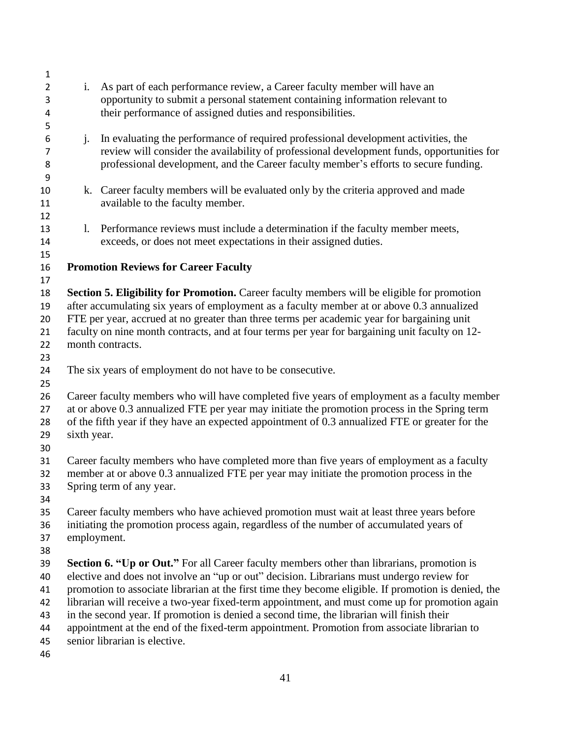| 1              |                                                                                                |                                                                                                                              |
|----------------|------------------------------------------------------------------------------------------------|------------------------------------------------------------------------------------------------------------------------------|
| $\overline{2}$ | i.                                                                                             | As part of each performance review, a Career faculty member will have an                                                     |
| 3              |                                                                                                | opportunity to submit a personal statement containing information relevant to                                                |
| 4              |                                                                                                | their performance of assigned duties and responsibilities.                                                                   |
| 5              |                                                                                                |                                                                                                                              |
| 6              | j <sub>1</sub>                                                                                 | In evaluating the performance of required professional development activities, the                                           |
| 7              |                                                                                                | review will consider the availability of professional development funds, opportunities for                                   |
| 8              |                                                                                                | professional development, and the Career faculty member's efforts to secure funding.                                         |
| 9              |                                                                                                |                                                                                                                              |
| 10             |                                                                                                | k. Career faculty members will be evaluated only by the criteria approved and made                                           |
| 11             |                                                                                                | available to the faculty member.                                                                                             |
| 12             |                                                                                                |                                                                                                                              |
| 13             |                                                                                                | 1. Performance reviews must include a determination if the faculty member meets,                                             |
| 14             |                                                                                                | exceeds, or does not meet expectations in their assigned duties.                                                             |
| 15             |                                                                                                |                                                                                                                              |
| 16             |                                                                                                | <b>Promotion Reviews for Career Faculty</b>                                                                                  |
| 17             |                                                                                                |                                                                                                                              |
| 18             |                                                                                                | Section 5. Eligibility for Promotion. Career faculty members will be eligible for promotion                                  |
| 19             |                                                                                                | after accumulating six years of employment as a faculty member at or above 0.3 annualized                                    |
| 20             | FTE per year, accrued at no greater than three terms per academic year for bargaining unit     |                                                                                                                              |
| 21             | faculty on nine month contracts, and at four terms per year for bargaining unit faculty on 12- |                                                                                                                              |
| 22             |                                                                                                | month contracts.                                                                                                             |
| 23             |                                                                                                |                                                                                                                              |
| 24             |                                                                                                | The six years of employment do not have to be consecutive.                                                                   |
| 25             |                                                                                                |                                                                                                                              |
| 26             | Career faculty members who will have completed five years of employment as a faculty member    |                                                                                                                              |
| 27             | at or above 0.3 annualized FTE per year may initiate the promotion process in the Spring term  |                                                                                                                              |
| 28             |                                                                                                | of the fifth year if they have an expected appointment of 0.3 annualized FTE or greater for the                              |
| 29             | sixth year.                                                                                    |                                                                                                                              |
| 30             |                                                                                                |                                                                                                                              |
| 31             |                                                                                                | Career faculty members who have completed more than five years of employment as a faculty                                    |
| 32             |                                                                                                | member at or above 0.3 annualized FTE per year may initiate the promotion process in the                                     |
| 33             |                                                                                                | Spring term of any year.                                                                                                     |
| 34             |                                                                                                |                                                                                                                              |
| 35             |                                                                                                | Career faculty members who have achieved promotion must wait at least three years before                                     |
| 36             |                                                                                                | initiating the promotion process again, regardless of the number of accumulated years of                                     |
| 37             | employment.                                                                                    |                                                                                                                              |
| 38             |                                                                                                |                                                                                                                              |
| 39             |                                                                                                | Section 6. "Up or Out." For all Career faculty members other than librarians, promotion is                                   |
| 40             |                                                                                                | elective and does not involve an "up or out" decision. Librarians must undergo review for                                    |
| 41             |                                                                                                | promotion to associate librarian at the first time they become eligible. If promotion is denied, the                         |
| 42             |                                                                                                | librarian will receive a two-year fixed-term appointment, and must come up for promotion again                               |
| 43             |                                                                                                | in the second year. If promotion is denied a second time, the librarian will finish their                                    |
| 44             |                                                                                                | appointment at the end of the fixed-term appointment. Promotion from associate librarian to<br>senior librarian is elective. |
| 45             |                                                                                                |                                                                                                                              |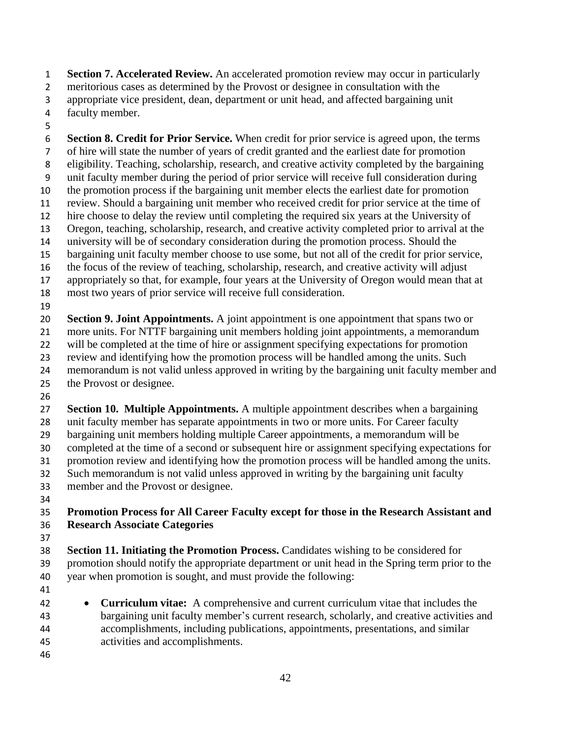**Section 7. Accelerated Review.** An accelerated promotion review may occur in particularly meritorious cases as determined by the Provost or designee in consultation with the appropriate vice president, dean, department or unit head, and affected bargaining unit

- faculty member.
- 

 **Section 8. Credit for Prior Service.** When credit for prior service is agreed upon, the terms of hire will state the number of years of credit granted and the earliest date for promotion eligibility. Teaching, scholarship, research, and creative activity completed by the bargaining unit faculty member during the period of prior service will receive full consideration during the promotion process if the bargaining unit member elects the earliest date for promotion review. Should a bargaining unit member who received credit for prior service at the time of hire choose to delay the review until completing the required six years at the University of Oregon, teaching, scholarship, research, and creative activity completed prior to arrival at the university will be of secondary consideration during the promotion process. Should the bargaining unit faculty member choose to use some, but not all of the credit for prior service, the focus of the review of teaching, scholarship, research, and creative activity will adjust appropriately so that, for example, four years at the University of Oregon would mean that at most two years of prior service will receive full consideration. 

 **Section 9. Joint Appointments.** A joint appointment is one appointment that spans two or more units. For NTTF bargaining unit members holding joint appointments, a memorandum will be completed at the time of hire or assignment specifying expectations for promotion review and identifying how the promotion process will be handled among the units. Such memorandum is not valid unless approved in writing by the bargaining unit faculty member and the Provost or designee.

 **Section 10. Multiple Appointments.** A multiple appointment describes when a bargaining unit faculty member has separate appointments in two or more units. For Career faculty bargaining unit members holding multiple Career appointments, a memorandum will be completed at the time of a second or subsequent hire or assignment specifying expectations for promotion review and identifying how the promotion process will be handled among the units. Such memorandum is not valid unless approved in writing by the bargaining unit faculty member and the Provost or designee.

## **Promotion Process for All Career Faculty except for those in the Research Assistant and Research Associate Categories**

 **Section 11. Initiating the Promotion Process.** Candidates wishing to be considered for promotion should notify the appropriate department or unit head in the Spring term prior to the year when promotion is sought, and must provide the following:

- 
- **Curriculum vitae:** A comprehensive and current curriculum vitae that includes the bargaining unit faculty member's current research, scholarly, and creative activities and accomplishments, including publications, appointments, presentations, and similar activities and accomplishments.
-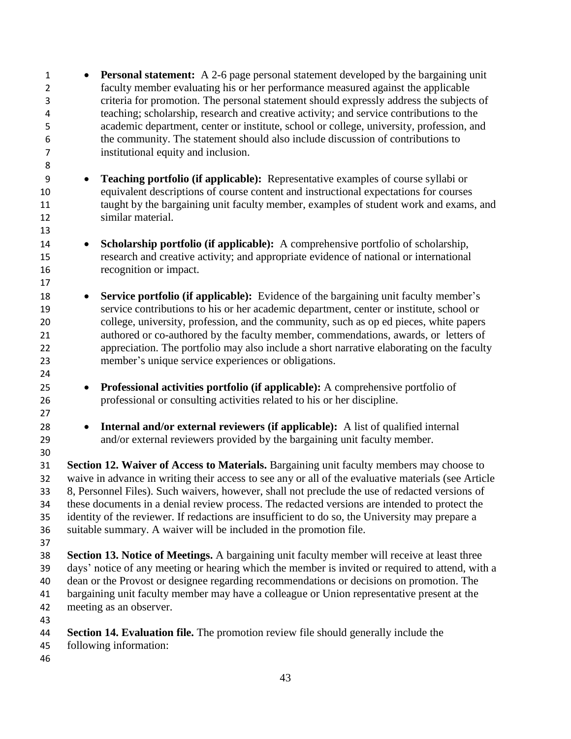• **Personal statement:** A 2-6 page personal statement developed by the bargaining unit faculty member evaluating his or her performance measured against the applicable criteria for promotion. The personal statement should expressly address the subjects of teaching; scholarship, research and creative activity; and service contributions to the academic department, center or institute, school or college, university, profession, and the community. The statement should also include discussion of contributions to institutional equity and inclusion. • **Teaching portfolio (if applicable):** Representative examples of course syllabi or equivalent descriptions of course content and instructional expectations for courses taught by the bargaining unit faculty member, examples of student work and exams, and similar material. • **Scholarship portfolio (if applicable):** A comprehensive portfolio of scholarship, research and creative activity; and appropriate evidence of national or international recognition or impact. • **Service portfolio (if applicable):** Evidence of the bargaining unit faculty member's service contributions to his or her academic department, center or institute, school or college, university, profession, and the community, such as op ed pieces, white papers authored or co-authored by the faculty member, commendations, awards, or letters of appreciation. The portfolio may also include a short narrative elaborating on the faculty member's unique service experiences or obligations. • **Professional activities portfolio (if applicable):** A comprehensive portfolio of professional or consulting activities related to his or her discipline. • **Internal and/or external reviewers (if applicable):** A list of qualified internal and/or external reviewers provided by the bargaining unit faculty member. **Section 12. Waiver of Access to Materials.** Bargaining unit faculty members may choose to waive in advance in writing their access to see any or all of the evaluative materials (see Article 8, Personnel Files). Such waivers, however, shall not preclude the use of redacted versions of these documents in a denial review process. The redacted versions are intended to protect the identity of the reviewer. If redactions are insufficient to do so, the University may prepare a suitable summary. A waiver will be included in the promotion file. **Section 13. Notice of Meetings.** A bargaining unit faculty member will receive at least three days' notice of any meeting or hearing which the member is invited or required to attend, with a dean or the Provost or designee regarding recommendations or decisions on promotion. The bargaining unit faculty member may have a colleague or Union representative present at the meeting as an observer. **Section 14. Evaluation file.** The promotion review file should generally include the following information: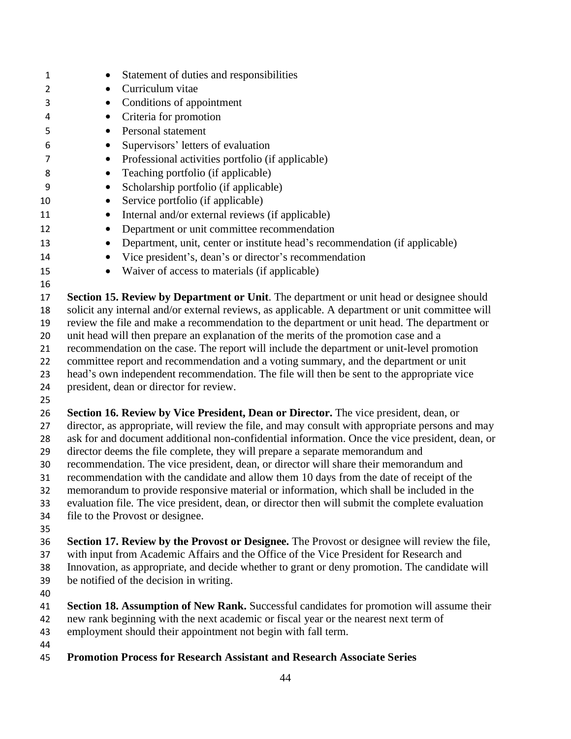| 1        | Statement of duties and responsibilities<br>٠                                                                                        |  |  |
|----------|--------------------------------------------------------------------------------------------------------------------------------------|--|--|
| 2        | Curriculum vitae<br>٠                                                                                                                |  |  |
| 3        | Conditions of appointment                                                                                                            |  |  |
| 4        | Criteria for promotion<br>$\bullet$                                                                                                  |  |  |
| 5        | Personal statement                                                                                                                   |  |  |
| 6        | Supervisors' letters of evaluation<br>$\bullet$                                                                                      |  |  |
| 7        | Professional activities portfolio (if applicable)<br>$\bullet$                                                                       |  |  |
| 8        | Teaching portfolio (if applicable)<br>$\bullet$                                                                                      |  |  |
| 9        | Scholarship portfolio (if applicable)                                                                                                |  |  |
| 10       | Service portfolio (if applicable)<br>$\bullet$                                                                                       |  |  |
| 11       | Internal and/or external reviews (if applicable)<br>$\bullet$                                                                        |  |  |
| 12       | Department or unit committee recommendation                                                                                          |  |  |
| 13       | Department, unit, center or institute head's recommendation (if applicable)<br>$\bullet$                                             |  |  |
| 14       | Vice president's, dean's or director's recommendation<br>٠                                                                           |  |  |
| 15       | Waiver of access to materials (if applicable)<br>$\bullet$                                                                           |  |  |
| 16       |                                                                                                                                      |  |  |
| 17       | Section 15. Review by Department or Unit. The department or unit head or designee should                                             |  |  |
| 18       | solicit any internal and/or external reviews, as applicable. A department or unit committee will                                     |  |  |
| 19       | review the file and make a recommendation to the department or unit head. The department or                                          |  |  |
| 20       | unit head will then prepare an explanation of the merits of the promotion case and a                                                 |  |  |
| 21       | recommendation on the case. The report will include the department or unit-level promotion                                           |  |  |
| 22       | committee report and recommendation and a voting summary, and the department or unit                                                 |  |  |
| 23<br>24 | head's own independent recommendation. The file will then be sent to the appropriate vice<br>president, dean or director for review. |  |  |
| 25       |                                                                                                                                      |  |  |
| 26       | Section 16. Review by Vice President, Dean or Director. The vice president, dean, or                                                 |  |  |
| 27       | director, as appropriate, will review the file, and may consult with appropriate persons and may                                     |  |  |
| 28       | ask for and document additional non-confidential information. Once the vice president, dean, or                                      |  |  |
| 29       | director deems the file complete, they will prepare a separate memorandum and                                                        |  |  |
| 30       | recommendation. The vice president, dean, or director will share their memorandum and                                                |  |  |
| 31       | recommendation with the candidate and allow them 10 days from the date of receipt of the                                             |  |  |
| 32       | memorandum to provide responsive material or information, which shall be included in the                                             |  |  |
| 33       | evaluation file. The vice president, dean, or director then will submit the complete evaluation                                      |  |  |
| 34       | file to the Provost or designee.                                                                                                     |  |  |
| 35<br>36 | Section 17. Review by the Provost or Designee. The Provost or designee will review the file,                                         |  |  |
| 37       | with input from Academic Affairs and the Office of the Vice President for Research and                                               |  |  |
| 38       | Innovation, as appropriate, and decide whether to grant or deny promotion. The candidate will                                        |  |  |
| 39       | be notified of the decision in writing.                                                                                              |  |  |
| 40       |                                                                                                                                      |  |  |
| 41       | <b>Section 18. Assumption of New Rank.</b> Successful candidates for promotion will assume their                                     |  |  |
| 42       | new rank beginning with the next academic or fiscal year or the nearest next term of                                                 |  |  |
| 43       | employment should their appointment not begin with fall term.                                                                        |  |  |
| 44       |                                                                                                                                      |  |  |
| 45       | <b>Promotion Process for Research Assistant and Research Associate Series</b>                                                        |  |  |
|          |                                                                                                                                      |  |  |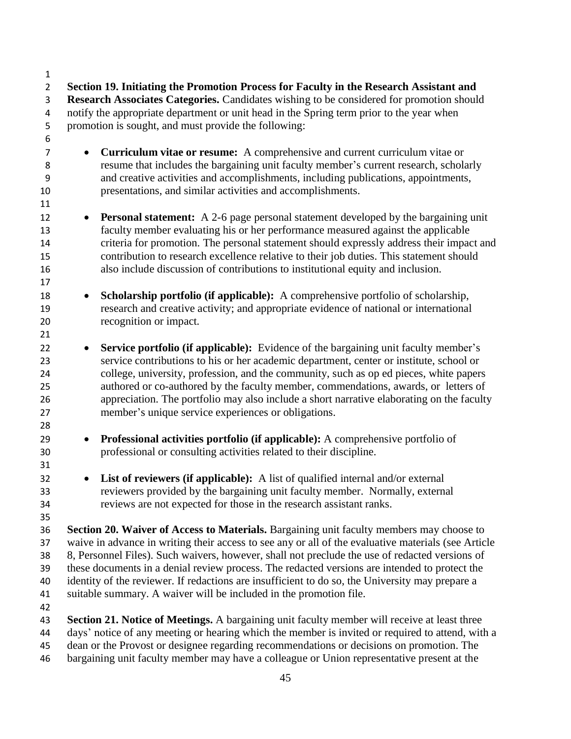**Research Associates Categories.** Candidates wishing to be considered for promotion should notify the appropriate department or unit head in the Spring term prior to the year when promotion is sought, and must provide the following: • **Curriculum vitae or resume:** A comprehensive and current curriculum vitae or resume that includes the bargaining unit faculty member's current research, scholarly and creative activities and accomplishments, including publications, appointments, presentations, and similar activities and accomplishments. • **Personal statement:** A 2-6 page personal statement developed by the bargaining unit faculty member evaluating his or her performance measured against the applicable criteria for promotion. The personal statement should expressly address their impact and contribution to research excellence relative to their job duties. This statement should also include discussion of contributions to institutional equity and inclusion. • **Scholarship portfolio (if applicable):** A comprehensive portfolio of scholarship, research and creative activity; and appropriate evidence of national or international recognition or impact. • **Service portfolio (if applicable):** Evidence of the bargaining unit faculty member's service contributions to his or her academic department, center or institute, school or college, university, profession, and the community, such as op ed pieces, white papers authored or co-authored by the faculty member, commendations, awards, or letters of appreciation. The portfolio may also include a short narrative elaborating on the faculty member's unique service experiences or obligations. • **Professional activities portfolio (if applicable):** A comprehensive portfolio of professional or consulting activities related to their discipline. • **List of reviewers (if applicable):** A list of qualified internal and/or external reviewers provided by the bargaining unit faculty member. Normally, external reviews are not expected for those in the research assistant ranks. **Section 20. Waiver of Access to Materials.** Bargaining unit faculty members may choose to waive in advance in writing their access to see any or all of the evaluative materials (see Article 8, Personnel Files). Such waivers, however, shall not preclude the use of redacted versions of these documents in a denial review process. The redacted versions are intended to protect the identity of the reviewer. If redactions are insufficient to do so, the University may prepare a suitable summary. A waiver will be included in the promotion file. **Section 21. Notice of Meetings.** A bargaining unit faculty member will receive at least three days' notice of any meeting or hearing which the member is invited or required to attend, with a dean or the Provost or designee regarding recommendations or decisions on promotion. The

**Section 19. Initiating the Promotion Process for Faculty in the Research Assistant and** 

bargaining unit faculty member may have a colleague or Union representative present at the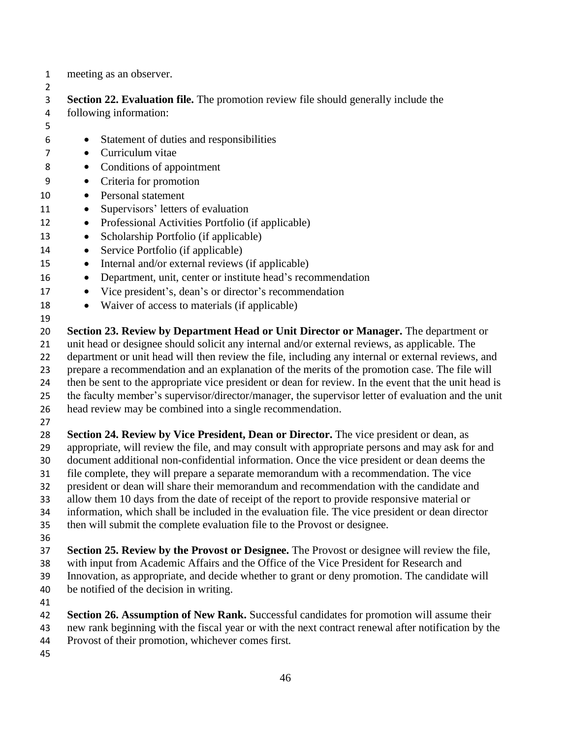meeting as an observer.

 **Section 22. Evaluation file.** The promotion review file should generally include the following information:

- Statement of duties and responsibilities
- Curriculum vitae
- Conditions of appointment
- Criteria for promotion
- Personal statement
- Supervisors' letters of evaluation
- Professional Activities Portfolio (if applicable)
- Scholarship Portfolio (if applicable)
- Service Portfolio (if applicable)
- Internal and/or external reviews (if applicable)
- Department, unit, center or institute head's recommendation
- Vice president's, dean's or director's recommendation
- Waiver of access to materials (if applicable)

 **Section 23. Review by Department Head or Unit Director or Manager.** The department or unit head or designee should solicit any internal and/or external reviews, as applicable. The

- department or unit head will then review the file, including any internal or external reviews, and
- prepare a recommendation and an explanation of the merits of the promotion case. The file will
- then be sent to the appropriate vice president or dean for review. In the event that the unit head is
- the faculty member's supervisor/director/manager, the supervisor letter of evaluation and the unit
- head review may be combined into a single recommendation.
- 

 **Section 24. Review by Vice President, Dean or Director.** The vice president or dean, as appropriate, will review the file, and may consult with appropriate persons and may ask for and document additional non-confidential information. Once the vice president or dean deems the

- file complete, they will prepare a separate memorandum with a recommendation. The vice
- president or dean will share their memorandum and recommendation with the candidate and
- allow them 10 days from the date of receipt of the report to provide responsive material or
- information, which shall be included in the evaluation file. The vice president or dean director
- then will submit the complete evaluation file to the Provost or designee.
- 
- **Section 25. Review by the Provost or Designee.** The Provost or designee will review the file, with input from Academic Affairs and the Office of the Vice President for Research and
- Innovation, as appropriate, and decide whether to grant or deny promotion. The candidate will
- be notified of the decision in writing.
- 
- **Section 26. Assumption of New Rank.** Successful candidates for promotion will assume their
- new rank beginning with the fiscal year or with the next contract renewal after notification by the Provost of their promotion, whichever comes first.
-